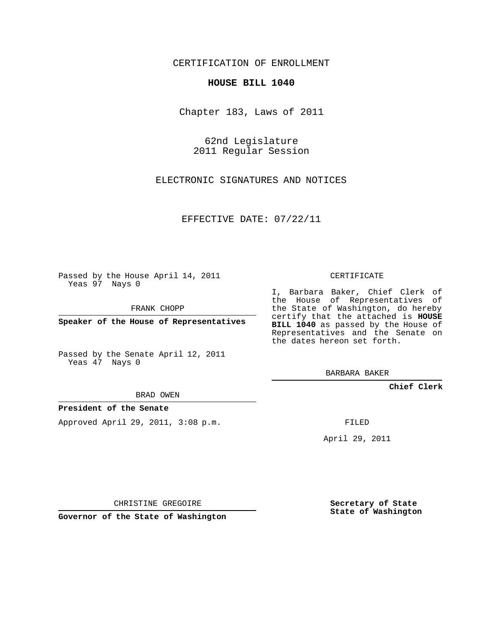## CERTIFICATION OF ENROLLMENT

#### **HOUSE BILL 1040**

Chapter 183, Laws of 2011

62nd Legislature 2011 Regular Session

ELECTRONIC SIGNATURES AND NOTICES

EFFECTIVE DATE: 07/22/11

Passed by the House April 14, 2011 Yeas 97 Nays 0

FRANK CHOPP

**Speaker of the House of Representatives**

Passed by the Senate April 12, 2011 Yeas 47 Nays 0

BRAD OWEN

## **President of the Senate**

Approved April 29, 2011, 3:08 p.m.

CERTIFICATE

I, Barbara Baker, Chief Clerk of the House of Representatives of the State of Washington, do hereby certify that the attached is **HOUSE BILL 1040** as passed by the House of Representatives and the Senate on the dates hereon set forth.

BARBARA BAKER

**Chief Clerk**

FILED

April 29, 2011

CHRISTINE GREGOIRE

**Governor of the State of Washington**

**Secretary of State State of Washington**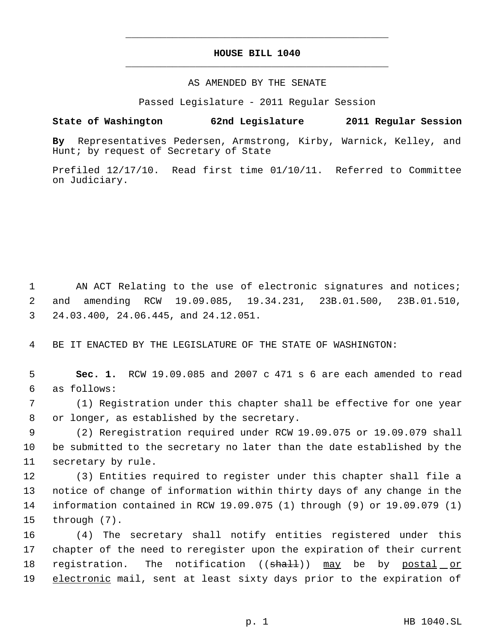# **HOUSE BILL 1040** \_\_\_\_\_\_\_\_\_\_\_\_\_\_\_\_\_\_\_\_\_\_\_\_\_\_\_\_\_\_\_\_\_\_\_\_\_\_\_\_\_\_\_\_\_

\_\_\_\_\_\_\_\_\_\_\_\_\_\_\_\_\_\_\_\_\_\_\_\_\_\_\_\_\_\_\_\_\_\_\_\_\_\_\_\_\_\_\_\_\_

### AS AMENDED BY THE SENATE

Passed Legislature - 2011 Regular Session

### **State of Washington 62nd Legislature 2011 Regular Session**

**By** Representatives Pedersen, Armstrong, Kirby, Warnick, Kelley, and Hunt; by request of Secretary of State

Prefiled 12/17/10. Read first time 01/10/11. Referred to Committee on Judiciary.

1 AN ACT Relating to the use of electronic signatures and notices; 2 and amending RCW 19.09.085, 19.34.231, 23B.01.500, 23B.01.510, 3 24.03.400, 24.06.445, and 24.12.051.

4 BE IT ENACTED BY THE LEGISLATURE OF THE STATE OF WASHINGTON:

 5 **Sec. 1.** RCW 19.09.085 and 2007 c 471 s 6 are each amended to read 6 as follows:

 7 (1) Registration under this chapter shall be effective for one year 8 or longer, as established by the secretary.

 9 (2) Reregistration required under RCW 19.09.075 or 19.09.079 shall 10 be submitted to the secretary no later than the date established by the 11 secretary by rule.

 (3) Entities required to register under this chapter shall file a notice of change of information within thirty days of any change in the information contained in RCW 19.09.075 (1) through (9) or 19.09.079 (1) through (7).

16 (4) The secretary shall notify entities registered under this 17 chapter of the need to reregister upon the expiration of their current 18 registration. The notification ((shall)) may be by postal or 19 electronic mail, sent at least sixty days prior to the expiration of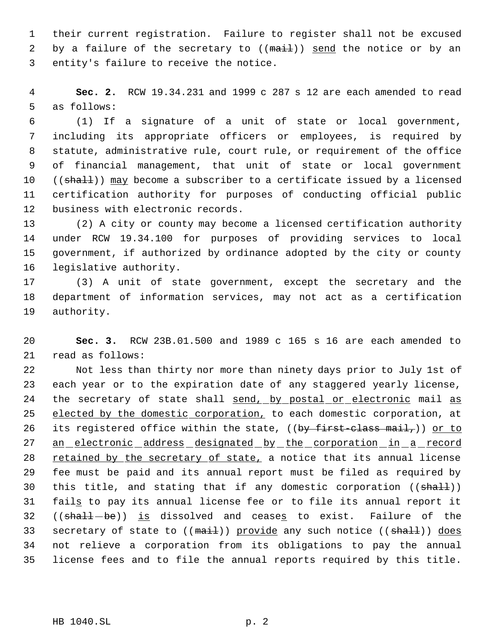their current registration. Failure to register shall not be excused 2 by a failure of the secretary to  $((\text{mail}))$  send the notice or by an entity's failure to receive the notice.

 **Sec. 2.** RCW 19.34.231 and 1999 c 287 s 12 are each amended to read as follows:

 (1) If a signature of a unit of state or local government, including its appropriate officers or employees, is required by statute, administrative rule, court rule, or requirement of the office of financial management, that unit of state or local government 10 ((shall)) may become a subscriber to a certificate issued by a licensed certification authority for purposes of conducting official public business with electronic records.

 (2) A city or county may become a licensed certification authority under RCW 19.34.100 for purposes of providing services to local government, if authorized by ordinance adopted by the city or county legislative authority.

 (3) A unit of state government, except the secretary and the department of information services, may not act as a certification authority.

 **Sec. 3.** RCW 23B.01.500 and 1989 c 165 s 16 are each amended to read as follows:

 Not less than thirty nor more than ninety days prior to July 1st of each year or to the expiration date of any staggered yearly license, 24 the secretary of state shall send, by postal or electronic mail as 25 elected by the domestic corporation, to each domestic corporation, at 26 its registered office within the state, ((by first-class mail,)) or to 27 an electronic address designated by the corporation in a record 28 retained by the secretary of state, a notice that its annual license fee must be paid and its annual report must be filed as required by 30 this title, and stating that if any domestic corporation ((shall)) 31 fails to pay its annual license fee or to file its annual report it 32 ((shall-be)) is dissolved and ceases to exist. Failure of the 33 secretary of state to ((mail)) provide any such notice ((shall)) does not relieve a corporation from its obligations to pay the annual license fees and to file the annual reports required by this title.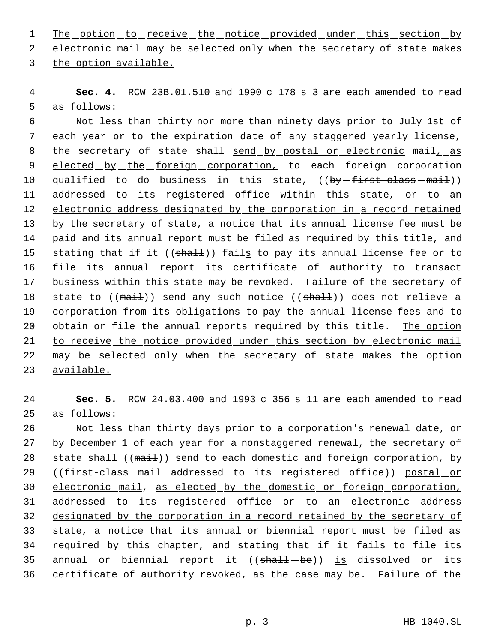1 The option to receive the notice provided under this section by

2 electronic mail may be selected only when the secretary of state makes

3 the option available.

 4 **Sec. 4.** RCW 23B.01.510 and 1990 c 178 s 3 are each amended to read 5 as follows:

 6 Not less than thirty nor more than ninety days prior to July 1st of 7 each year or to the expiration date of any staggered yearly license, 8 the secretary of state shall send by postal or electronic mail, as 9 elected by the foreign corporation, to each foreign corporation 10 qualified to do business in this state, ((by-first-class-mail)) 11 addressed to its registered office within this state, or to an 12 electronic address designated by the corporation in a record retained 13 by the secretary of state, a notice that its annual license fee must be 14 paid and its annual report must be filed as required by this title, and 15 stating that if it ((shall)) fails to pay its annual license fee or to 16 file its annual report its certificate of authority to transact 17 business within this state may be revoked. Failure of the secretary of 18 state to ((mail)) send any such notice ((shall)) does not relieve a 19 corporation from its obligations to pay the annual license fees and to 20 obtain or file the annual reports required by this title. The option 21 to receive the notice provided under this section by electronic mail 22 may be selected only when the secretary of state makes the option 23 available.

24 **Sec. 5.** RCW 24.03.400 and 1993 c 356 s 11 are each amended to read 25 as follows:

26 Not less than thirty days prior to a corporation's renewal date, or 27 by December 1 of each year for a nonstaggered renewal, the secretary of 28 state shall  $((\text{mail}))$  send to each domestic and foreign corporation, by 29 ((first-class-mail-addressed-to-its-registered-office)) postal\_or 30 electronic mail, as elected by the domestic or foreign corporation, 31 addressed to its registered office or to an electronic address 32 designated by the corporation in a record retained by the secretary of 33 state, a notice that its annual or biennial report must be filed as 34 required by this chapter, and stating that if it fails to file its 35 annual or biennial report it  $((shall - be))$  is dissolved or its 36 certificate of authority revoked, as the case may be. Failure of the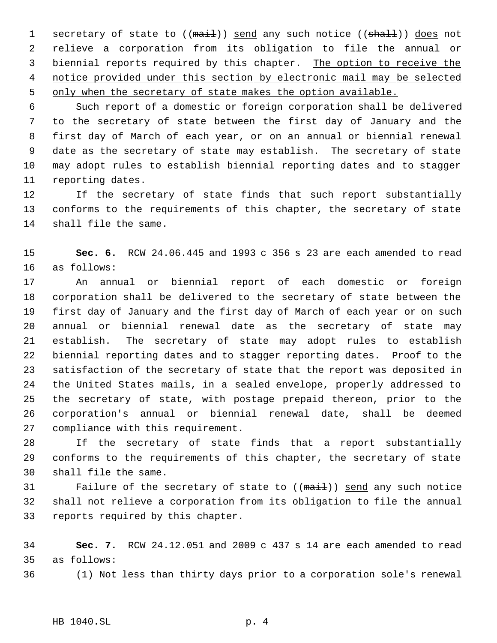1 secretary of state to ((mail)) send any such notice ((shall)) does not relieve a corporation from its obligation to file the annual or 3 biennial reports required by this chapter. The option to receive the notice provided under this section by electronic mail may be selected only when the secretary of state makes the option available.

 Such report of a domestic or foreign corporation shall be delivered to the secretary of state between the first day of January and the first day of March of each year, or on an annual or biennial renewal date as the secretary of state may establish. The secretary of state may adopt rules to establish biennial reporting dates and to stagger reporting dates.

 If the secretary of state finds that such report substantially conforms to the requirements of this chapter, the secretary of state shall file the same.

 **Sec. 6.** RCW 24.06.445 and 1993 c 356 s 23 are each amended to read as follows:

 An annual or biennial report of each domestic or foreign corporation shall be delivered to the secretary of state between the first day of January and the first day of March of each year or on such annual or biennial renewal date as the secretary of state may establish. The secretary of state may adopt rules to establish biennial reporting dates and to stagger reporting dates. Proof to the satisfaction of the secretary of state that the report was deposited in the United States mails, in a sealed envelope, properly addressed to the secretary of state, with postage prepaid thereon, prior to the corporation's annual or biennial renewal date, shall be deemed compliance with this requirement.

 If the secretary of state finds that a report substantially conforms to the requirements of this chapter, the secretary of state shall file the same.

31 Failure of the secretary of state to ((mail)) send any such notice shall not relieve a corporation from its obligation to file the annual reports required by this chapter.

 **Sec. 7.** RCW 24.12.051 and 2009 c 437 s 14 are each amended to read as follows:

(1) Not less than thirty days prior to a corporation sole's renewal